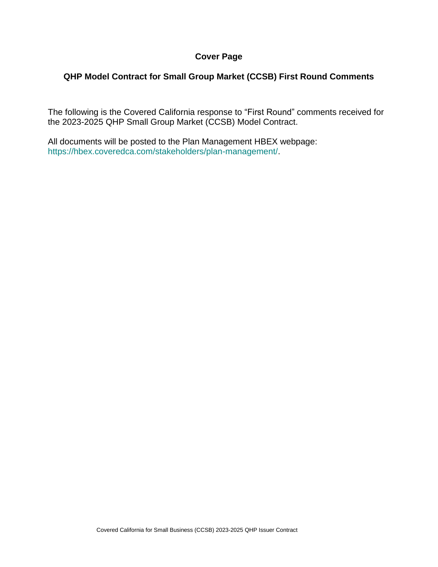## **Cover Page**

# **QHP Model Contract for Small Group Market (CCSB) First Round Comments**

The following is the Covered California response to "First Round" comments received for the 2023-2025 QHP Small Group Market (CCSB) Model Contract.

All documents will be posted to the Plan Management HBEX webpage: https://hbex.coveredca.com/stakeholders/plan-management/.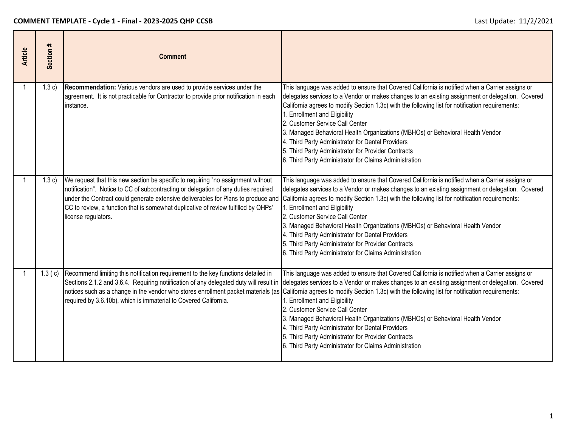| <b>Article</b> | $\pmb{\ast}$<br>Section ; | <b>Comment</b>                                                                                                                                                                                                                                                                                                                                                           |                                                                                                                                                                                                                                                                                                                                                                                                                                                                                                                                                                                                                                     |
|----------------|---------------------------|--------------------------------------------------------------------------------------------------------------------------------------------------------------------------------------------------------------------------------------------------------------------------------------------------------------------------------------------------------------------------|-------------------------------------------------------------------------------------------------------------------------------------------------------------------------------------------------------------------------------------------------------------------------------------------------------------------------------------------------------------------------------------------------------------------------------------------------------------------------------------------------------------------------------------------------------------------------------------------------------------------------------------|
|                | 1.3 c)                    | Recommendation: Various vendors are used to provide services under the<br>agreement. It is not practicable for Contractor to provide prior notification in each<br>instance.                                                                                                                                                                                             | This language was added to ensure that Covered California is notified when a Carrier assigns or<br>delegates services to a Vendor or makes changes to an existing assignment or delegation. Covered<br>California agrees to modify Section 1.3c) with the following list for notification requirements:<br>1. Enrollment and Eligibility<br>2. Customer Service Call Center<br>3. Managed Behavioral Health Organizations (MBHOs) or Behavioral Health Vendor<br>4. Third Party Administrator for Dental Providers<br>5. Third Party Administrator for Provider Contracts<br>6. Third Party Administrator for Claims Administration |
|                | (1.3c)                    | We request that this new section be specific to requiring "no assignment without<br>notification". Notice to CC of subcontracting or delegation of any duties required<br>under the Contract could generate extensive deliverables for Plans to produce and<br>CC to review, a function that is somewhat duplicative of review fulfilled by QHPs'<br>license regulators. | This language was added to ensure that Covered California is notified when a Carrier assigns or<br>delegates services to a Vendor or makes changes to an existing assignment or delegation. Covered<br>California agrees to modify Section 1.3c) with the following list for notification requirements:<br>1. Enrollment and Eligibility<br>2. Customer Service Call Center<br>3. Managed Behavioral Health Organizations (MBHOs) or Behavioral Health Vendor<br>4. Third Party Administrator for Dental Providers<br>5. Third Party Administrator for Provider Contracts<br>6. Third Party Administrator for Claims Administration |
|                |                           | 1.3 (c) Recommend limiting this notification requirement to the key functions detailed in<br>Sections 2.1.2 and 3.6.4. Requiring notiification of any delegated duty will result in<br>notices such as a change in the vendor who stores enrollment packet materials (as<br>required by 3.6.10b), which is immaterial to Covered California.                             | This language was added to ensure that Covered California is notified when a Carrier assigns or<br>delegates services to a Vendor or makes changes to an existing assignment or delegation. Covered<br>California agrees to modify Section 1.3c) with the following list for notification requirements:<br>1. Enrollment and Eligibility<br>2. Customer Service Call Center<br>3. Managed Behavioral Health Organizations (MBHOs) or Behavioral Health Vendor<br>4. Third Party Administrator for Dental Providers<br>5. Third Party Administrator for Provider Contracts<br>6. Third Party Administrator for Claims Administration |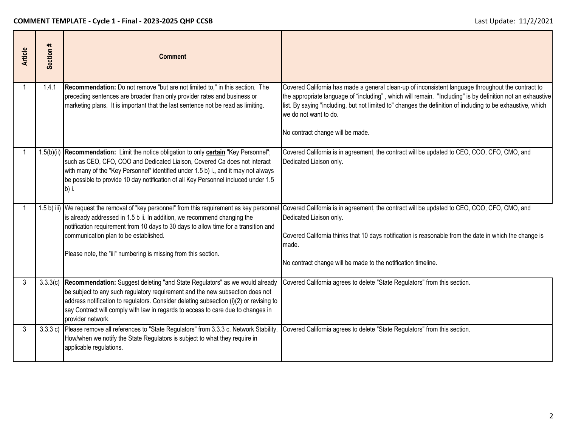| <b>Article</b> | $\ddot{}$<br>Section | <b>Comment</b>                                                                                                                                                                                                                                                                                                                                                  |                                                                                                                                                                                                                                                                                                                                                                                                         |
|----------------|----------------------|-----------------------------------------------------------------------------------------------------------------------------------------------------------------------------------------------------------------------------------------------------------------------------------------------------------------------------------------------------------------|---------------------------------------------------------------------------------------------------------------------------------------------------------------------------------------------------------------------------------------------------------------------------------------------------------------------------------------------------------------------------------------------------------|
| 1              | 1.4.1                | Recommendation: Do not remove "but are not limited to," in this section. The<br>preceding sentences are broader than only provider rates and business or<br>marketing plans. It is important that the last sentence not be read as limiting.                                                                                                                    | Covered California has made a general clean-up of inconsistent language throughout the contract to<br>the appropriate language of "including", which will remain. "Including" is by definition not an exhaustive<br>list. By saying "including, but not limited to" changes the definition of including to be exhaustive, which<br>we do not want to do.<br>No contract change will be made.            |
|                |                      | 1.5(b)(ii) Recommendation: Limit the notice obligation to only certain "Key Personnel";<br>such as CEO, CFO, COO and Dedicated Liaison, Covered Ca does not interact<br>with many of the "Key Personnel" identified under 1.5 b) i., and it may not always<br>be possible to provide 10 day notification of all Key Personnel incluced under 1.5<br>b) i.       | Covered California is in agreement, the contract will be updated to CEO, COO, CFO, CMO, and<br>Dedicated Liaison only.                                                                                                                                                                                                                                                                                  |
|                |                      | is already addressed in 1.5 b ii. In addition, we recommend changing the<br>notification requirement from 10 days to 30 days to allow time for a transition and<br>communication plan to be established.<br>Please note, the "iii" numbering is missing from this section.                                                                                      | 1.5 b) iii) We request the removal of "key personnel" from this requirement as key personnel Covered California is in agreement, the contract will be updated to CEO, COO, CFO, CMO, and<br>Dedicated Liaison only.<br>Covered California thinks that 10 days notification is reasonable from the date in which the change is<br>made.<br>No contract change will be made to the notification timeline. |
| 3              | 3.3.3(c)             | Recommendation: Suggest deleting "and State Regulators" as we would already<br>be subject to any such regulatory requirement and the new subsection does not<br>address notification to regulators. Consider deleting subsection (i)(2) or revising to<br>say Contract will comply with law in regards to access to care due to changes in<br>provider network. | Covered California agrees to delete "State Regulators" from this section.                                                                                                                                                                                                                                                                                                                               |
| 3              | 3.3.3 c)             | Please remove all references to "State Regulators" from 3.3.3 c. Network Stability.<br>How/when we notify the State Regulators is subject to what they require in<br>applicable regulations.                                                                                                                                                                    | Covered California agrees to delete "State Regulators" from this section.                                                                                                                                                                                                                                                                                                                               |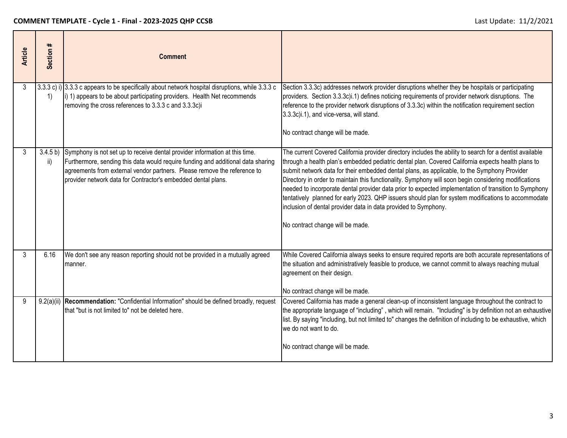| <b>Article</b> | Section # | <b>Comment</b>                                                                                                                                                                                                                                                                                                        |                                                                                                                                                                                                                                                                                                                                                                                                                                                                                                                                                                                                                                                                                                                                                |
|----------------|-----------|-----------------------------------------------------------------------------------------------------------------------------------------------------------------------------------------------------------------------------------------------------------------------------------------------------------------------|------------------------------------------------------------------------------------------------------------------------------------------------------------------------------------------------------------------------------------------------------------------------------------------------------------------------------------------------------------------------------------------------------------------------------------------------------------------------------------------------------------------------------------------------------------------------------------------------------------------------------------------------------------------------------------------------------------------------------------------------|
| 3              | 1)        | $(3.3.3 c)$ i) $(3.3.3 c)$ appears to be specifically about network hospital disruptions, while 3.3.3 c<br>i) 1) appears to be about participating providers. Health Net recommends<br>removing the cross references to 3.3.3 c and 3.3.3c)i                                                                          | Section 3.3.3c) addresses network provider disruptions whether they be hospitals or participating<br>providers. Section 3.3.3c)i.1) defines noticing requirements of provider network disruptions. The<br>reference to the provider network disruptions of 3.3.3c) within the notification requirement section<br>3.3.3c)i.1), and vice-versa, will stand.<br>No contract change will be made.                                                                                                                                                                                                                                                                                                                                                 |
| 3              | ii)       | 3.4.5 b) Symphony is not set up to receive dental provider information at this time.<br>Furthermore, sending this data would require funding and additional data sharing<br>agreements from external vendor partners. Please remove the reference to<br>provider network data for Contractor's embedded dental plans. | The current Covered California provider directory includes the ability to search for a dentist available<br>through a health plan's embedded pediatric dental plan. Covered California expects health plans to<br>submit network data for their embedded dental plans, as applicable, to the Symphony Provider<br>Directory in order to maintain this functionality. Symphony will soon begin considering modifications<br>needed to incorporate dental provider data prior to expected implementation of transition to Symphony<br>tentatively planned for early 2023. QHP issuers should plan for system modifications to accommodate<br>inclusion of dental provider data in data provided to Symphony.<br>No contract change will be made. |
| 3              | 6.16      | We don't see any reason reporting should not be provided in a mutually agreed<br>manner.                                                                                                                                                                                                                              | While Covered California always seeks to ensure required reports are both accurate representations of<br>the situation and administratively feasible to produce, we cannot commit to always reaching mutual<br>agreement on their design.<br>No contract change will be made.                                                                                                                                                                                                                                                                                                                                                                                                                                                                  |
| 9              |           | 9.2(a)(ii) Recommendation: "Confidential Information" should be defined broadly, request<br>that "but is not limited to" not be deleted here.                                                                                                                                                                         | Covered California has made a general clean-up of inconsistent language throughout the contract to<br>the appropriate language of "including", which will remain. "Including" is by definition not an exhaustive<br>list. By saying "including, but not limited to" changes the definition of including to be exhaustive, which<br>we do not want to do.<br>No contract change will be made.                                                                                                                                                                                                                                                                                                                                                   |